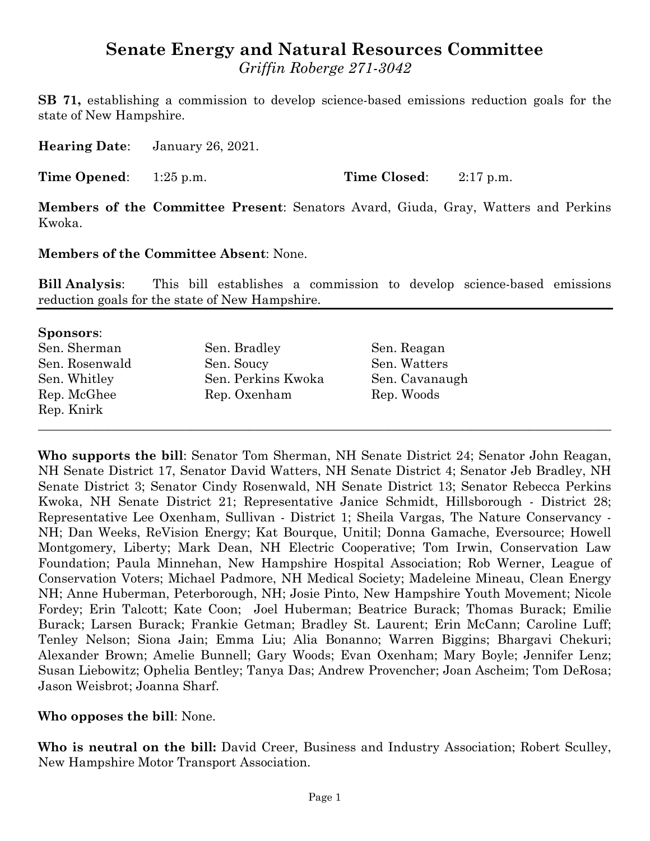# **Senate Energy and Natural Resources Committee**

*Griffin Roberge 271-3042*

**SB 71,** establishing a commission to develop science-based emissions reduction goals for the state of New Hampshire.

**Hearing Date**: January 26, 2021.

**Time Opened**: 1:25 p.m. **Time Closed**: 2:17 p.m.

**Members of the Committee Present**: Senators Avard, Giuda, Gray, Watters and Perkins Kwoka.

## **Members of the Committee Absent**: None.

**Bill Analysis**: This bill establishes a commission to develop science-based emissions reduction goals for the state of New Hampshire.

#### **Sponsors**:

| Sen. Sherman   | Sen. Bradley       | Sen. Reagan    |
|----------------|--------------------|----------------|
| Sen. Rosenwald | Sen. Soucy         | Sen. Watters   |
| Sen. Whitley   | Sen. Perkins Kwoka | Sen. Cavanaugh |
| Rep. McGhee    | Rep. Oxenham       | Rep. Woods     |
| Rep. Knirk     |                    |                |
|                |                    |                |

**Who supports the bill**: Senator Tom Sherman, NH Senate District 24; Senator John Reagan, NH Senate District 17, Senator David Watters, NH Senate District 4; Senator Jeb Bradley, NH Senate District 3; Senator Cindy Rosenwald, NH Senate District 13; Senator Rebecca Perkins Kwoka, NH Senate District 21; Representative Janice Schmidt, Hillsborough - District 28; Representative Lee Oxenham, Sullivan - District 1; Sheila Vargas, The Nature Conservancy - NH; Dan Weeks, ReVision Energy; Kat Bourque, Unitil; Donna Gamache, Eversource; Howell Montgomery, Liberty; Mark Dean, NH Electric Cooperative; Tom Irwin, Conservation Law Foundation; Paula Minnehan, New Hampshire Hospital Association; Rob Werner, League of Conservation Voters; Michael Padmore, NH Medical Society; Madeleine Mineau, Clean Energy NH; Anne Huberman, Peterborough, NH; Josie Pinto, New Hampshire Youth Movement; Nicole Fordey; Erin Talcott; Kate Coon; Joel Huberman; Beatrice Burack; Thomas Burack; Emilie Burack; Larsen Burack; Frankie Getman; Bradley St. Laurent; Erin McCann; Caroline Luff; Tenley Nelson; Siona Jain; Emma Liu; Alia Bonanno; Warren Biggins; Bhargavi Chekuri; Alexander Brown; Amelie Bunnell; Gary Woods; Evan Oxenham; Mary Boyle; Jennifer Lenz; Susan Liebowitz; Ophelia Bentley; Tanya Das; Andrew Provencher; Joan Ascheim; Tom DeRosa; Jason Weisbrot; Joanna Sharf.

# **Who opposes the bill**: None.

**Who is neutral on the bill:** David Creer, Business and Industry Association; Robert Sculley, New Hampshire Motor Transport Association.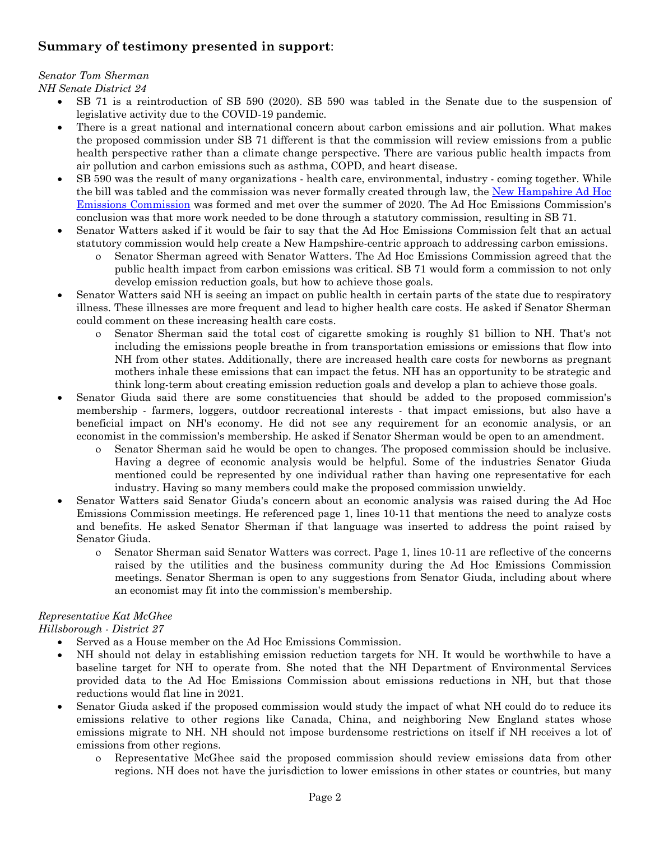# **Summary of testimony presented in support**:

# *Senator Tom Sherman*

*NH Senate District 24*

- · SB 71 is a reintroduction of SB 590 (2020). SB 590 was tabled in the Senate due to the suspension of legislative activity due to the COVID-19 pandemic.
- There is a great national and international concern about carbon emissions and air pollution. What makes the proposed commission under SB 71 different is that the commission will review emissions from a public health perspective rather than a climate change perspective. There are various public health impacts from air pollution and carbon emissions such as asthma, COPD, and heart disease.
- · SB 590 was the result of many organizations health care, environmental, industry coming together. While the bill was tabled and the commission was never formally created through law, the [New](https://nhemissioncommission.com/) [Hampshire](https://nhemissioncommission.com/) [Ad](https://nhemissioncommission.com/) [Hoc](https://nhemissioncommission.com/) [Emissions](https://nhemissioncommission.com/) [Commission](https://nhemissioncommission.com/) was formed and met over the summer of 2020. The Ad Hoc Emissions Commission's conclusion was that more work needed to be done through a statutory commission, resulting in SB 71.
- · Senator Watters asked if it would be fair to say that the Ad Hoc Emissions Commission felt that an actual statutory commission would help create a New Hampshire-centric approach to addressing carbon emissions.
	- o Senator Sherman agreed with Senator Watters. The Ad Hoc Emissions Commission agreed that the public health impact from carbon emissions was critical. SB 71 would form a commission to not only develop emission reduction goals, but how to achieve those goals.
- Senator Watters said NH is seeing an impact on public health in certain parts of the state due to respiratory illness. These illnesses are more frequent and lead to higher health care costs. He asked if Senator Sherman could comment on these increasing health care costs.
	- o Senator Sherman said the total cost of cigarette smoking is roughly \$1 billion to NH. That's not including the emissions people breathe in from transportation emissions or emissions that flow into NH from other states. Additionally, there are increased health care costs for newborns as pregnant mothers inhale these emissions that can impact the fetus. NH has an opportunity to be strategic and think long-term about creating emission reduction goals and develop a plan to achieve those goals.
- Senator Giuda said there are some constituencies that should be added to the proposed commission's membership - farmers, loggers, outdoor recreational interests - that impact emissions, but also have a beneficial impact on NH's economy. He did not see any requirement for an economic analysis, or an economist in the commission's membership. He asked if Senator Sherman would be open to an amendment.
	- o Senator Sherman said he would be open to changes. The proposed commission should be inclusive. Having a degree of economic analysis would be helpful. Some of the industries Senator Giuda mentioned could be represented by one individual rather than having one representative for each industry. Having so many members could make the proposed commission unwieldy.
- Senator Watters said Senator Giuda's concern about an economic analysis was raised during the Ad Hoc Emissions Commission meetings. He referenced page 1, lines 10-11 that mentions the need to analyze costs and benefits. He asked Senator Sherman if that language was inserted to address the point raised by Senator Giuda.
	- o Senator Sherman said Senator Watters was correct. Page 1, lines 10-11 are reflective of the concerns raised by the utilities and the business community during the Ad Hoc Emissions Commission meetings. Senator Sherman is open to any suggestions from Senator Giuda, including about where an economist may fit into the commission's membership.

#### *Representative Kat McGhee Hillsborough - District 27*

- · Served as a House member on the Ad Hoc Emissions Commission.
- NH should not delay in establishing emission reduction targets for NH. It would be worthwhile to have a baseline target for NH to operate from. She noted that the NH Department of Environmental Services provided data to the Ad Hoc Emissions Commission about emissions reductions in NH, but that those reductions would flat line in 2021.
- Senator Giuda asked if the proposed commission would study the impact of what NH could do to reduce its emissions relative to other regions like Canada, China, and neighboring New England states whose emissions migrate to NH. NH should not impose burdensome restrictions on itself if NH receives a lot of emissions from other regions.
	- o Representative McGhee said the proposed commission should review emissions data from other regions. NH does not have the jurisdiction to lower emissions in other states or countries, but many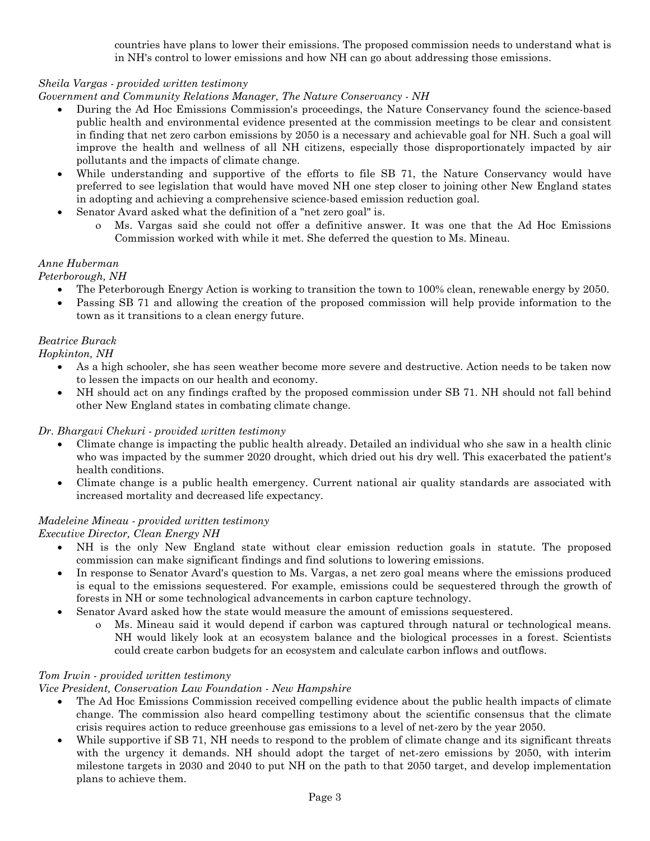countries have plans to lower their emissions. The proposed commission needs to understand what is in NH's control to lower emissions and how NH can go about addressing those emissions.

#### *Sheila Vargas - provided written testimony*

*Government and Community Relations Manager, The Nature Conservancy - NH*

- · During the Ad Hoc Emissions Commission's proceedings, the Nature Conservancy found the science-based public health and environmental evidence presented at the commission meetings to be clear and consistent in finding that net zero carbon emissions by 2050 is a necessary and achievable goal for NH. Such a goal will improve the health and wellness of all NH citizens, especially those disproportionately impacted by air pollutants and the impacts of climate change.
- While understanding and supportive of the efforts to file SB 71, the Nature Conservancy would have preferred to see legislation that would have moved NH one step closer to joining other New England states in adopting and achieving a comprehensive science-based emission reduction goal.
- Senator Avard asked what the definition of a "net zero goal" is.
	- o Ms. Vargas said she could not offer a definitive answer. It was one that the Ad Hoc Emissions Commission worked with while it met. She deferred the question to Ms. Mineau.

## *Anne Huberman*

*Peterborough, NH*

- The Peterborough Energy Action is working to transition the town to 100% clean, renewable energy by 2050.
- Passing SB 71 and allowing the creation of the proposed commission will help provide information to the town as it transitions to a clean energy future.

#### *Beatrice Burack*

*Hopkinton, NH*

- As a high schooler, she has seen weather become more severe and destructive. Action needs to be taken now to lessen the impacts on our health and economy.
- NH should act on any findings crafted by the proposed commission under SB 71. NH should not fall behind other New England states in combating climate change.

*Dr. Bhargavi Chekuri - provided written testimony*

- · Climate change is impacting the public health already. Detailed an individual who she saw in a health clinic who was impacted by the summer 2020 drought, which dried out his dry well. This exacerbated the patient's health conditions.
- Climate change is a public health emergency. Current national air quality standards are associated with increased mortality and decreased life expectancy.

#### *Madeleine Mineau - provided written testimony*

*Executive Director, Clean Energy NH*

- · NH is the only New England state without clear emission reduction goals in statute. The proposed commission can make significant findings and find solutions to lowering emissions.
- · In response to Senator Avard's question to Ms. Vargas, a net zero goal means where the emissions produced is equal to the emissions sequestered. For example, emissions could be sequestered through the growth of forests in NH or some technological advancements in carbon capture technology.
- · Senator Avard asked how the state would measure the amount of emissions sequestered.
	- o Ms. Mineau said it would depend if carbon was captured through natural or technological means. NH would likely look at an ecosystem balance and the biological processes in a forest. Scientists could create carbon budgets for an ecosystem and calculate carbon inflows and outflows.

#### *Tom Irwin - provided written testimony*

#### *Vice President, Conservation Law Foundation - New Hampshire*

- The Ad Hoc Emissions Commission received compelling evidence about the public health impacts of climate change. The commission also heard compelling testimony about the scientific consensus that the climate crisis requires action to reduce greenhouse gas emissions to a level of net-zero by the year 2050.
- While supportive if SB 71, NH needs to respond to the problem of climate change and its significant threats with the urgency it demands. NH should adopt the target of net-zero emissions by 2050, with interim milestone targets in 2030 and 2040 to put NH on the path to that 2050 target, and develop implementation plans to achieve them.